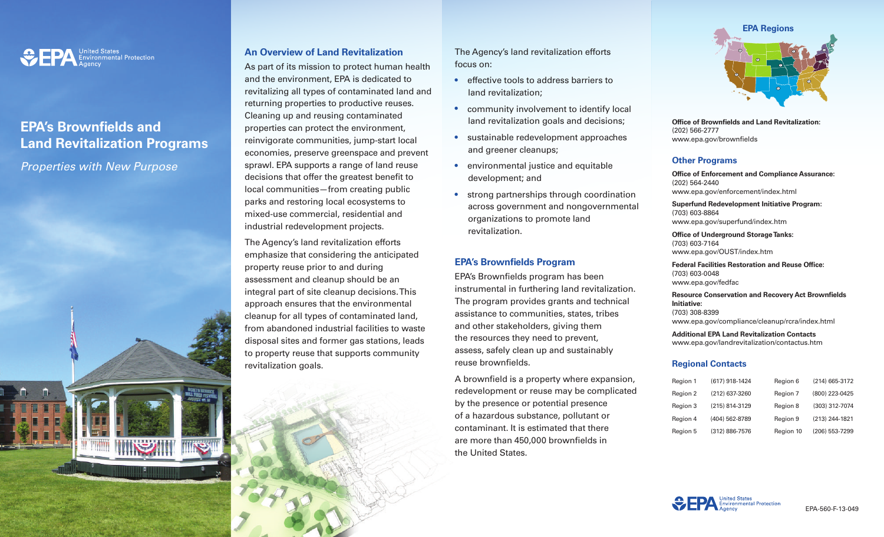

# **EPA's Brownfields and Land Revitalization Programs**

*Properties with New Purpose*

## **An Overview of Land Revitalization**

As part of its mission to protect human health and the environment, EPA is dedicated to revitalizing all types of contaminated land and returning properties to productive reuses. Cleaning up and reusing contaminated properties can protect the environment, reinvigorate communities, jump-start local economies, preserve greenspace and prevent sprawl. EPA supports a range of land reuse decisions that offer the greatest benefit to local communities—from creating public parks and restoring local ecosystems to mixed-use commercial, residential and industrial redevelopment projects.

The Agency's land revitalization efforts emphasize that considering the anticipated property reuse prior to and during assessment and cleanup should be an integral part of site cleanup decisions. This approach ensures that the environmental cleanup for all types of contaminated land, from abandoned industrial facilities to waste disposal sites and former gas stations, leads to property reuse that supports community revitalization goals.

The Agency's land revitalization efforts focus on:

- effective tools to address barriers to land revitalization;
- community involvement to identify local land revitalization goals and decisions;
- sustainable redevelopment approaches and greener cleanups;
- environmental justice and equitable development; and
- strong partnerships through coordination across government and nongovernmental organizations to promote land revitalization.

## **EPA's Brownfields Program**

EPA's Brownfields program has been instrumental in furthering land revitalization. The program provides grants and technical assistance to communities, states, tribes and other stakeholders, giving them the resources they need to prevent, assess, safely clean up and sustainably reuse brownfields.

A brownfield is a property where expansion, redevelopment or reuse may be complicated by the presence or potential presence of a hazardous substance, pollutant or contaminant. It is estimated that there are more than 450,000 brownfields in the United States.



**Office of Brownfields and Land Revitalization:** (202) 566-2777 www[.epa.gov/brownfields](http://epa.gov/brownfields)

#### **Other Programs**

**Office of Enforcement and Compliance Assurance:** (202) 564-2440 [www.epa.gov/enforcement/index.html](http://www.epa.gov/enforcement/index.html)

**Superfund Redevelopment Initiative Program:** (703) 603-8864 [www.epa.gov/superfund/index.htm](http://www.epa.gov/superfund/index.htm)

**Office of Underground Storage Tanks:** (703) 603-7164 <www.epa.gov/OUST/index.htm>

**Federal Facilities Restoration and Reuse Office:** (703) 603-0048 [www.epa.gov/fedfac](http://www.epa.gov/fedfac)

**Resource Conservation and Recovery Act Brownfields Initiative:** (703) 308-8399 <www.epa.gov/compliance/cleanup/rcra/index.html>

**Additional EPA Land Revitalization Contacts** <www.epa.gov/landrevitalization/contactus.htm>

#### **Regional Contacts**

| Region 1 | (617) 918-1424 | Region 6  | (214) 665-3172 |
|----------|----------------|-----------|----------------|
| Region 2 | (212) 637-3260 | Region 7  | (800) 223-0425 |
| Region 3 | (215) 814-3129 | Region 8  | (303) 312-7074 |
| Region 4 | (404) 562-8789 | Region 9  | (213) 244-1821 |
| Region 5 | (312) 886-7576 | Region 10 | (206) 553-7299 |